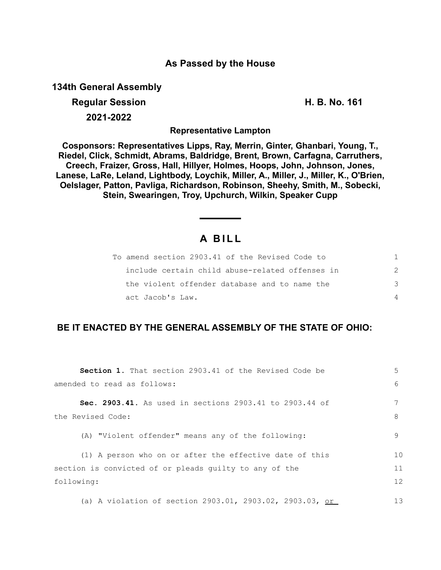### **As Passed by the House**

**134th General Assembly**

# **Regular Session H. B. No. 161 2021-2022**

**Representative Lampton**

**Cosponsors: Representatives Lipps, Ray, Merrin, Ginter, Ghanbari, Young, T., Riedel, Click, Schmidt, Abrams, Baldridge, Brent, Brown, Carfagna, Carruthers, Creech, Fraizer, Gross, Hall, Hillyer, Holmes, Hoops, John, Johnson, Jones, Lanese, LaRe, Leland, Lightbody, Loychik, Miller, A., Miller, J., Miller, K., O'Brien, Oelslager, Patton, Pavliga, Richardson, Robinson, Sheehy, Smith, M., Sobecki, Stein, Swearingen, Troy, Upchurch, Wilkin, Speaker Cupp**

## **A B I L L**

| To amend section 2903.41 of the Revised Code to |   |
|-------------------------------------------------|---|
| include certain child abuse-related offenses in | 2 |
| the violent offender database and to name the   | ヽ |
| act Jacob's Law.                                |   |

## **BE IT ENACTED BY THE GENERAL ASSEMBLY OF THE STATE OF OHIO:**

| <b>Section 1.</b> That section 2903.41 of the Revised Code be   | 5              |
|-----------------------------------------------------------------|----------------|
| amended to read as follows:                                     | 6              |
| Sec. 2903.41. As used in sections 2903.41 to 2903.44 of         |                |
| the Revised Code:                                               | 8              |
| (A) "Violent offender" means any of the following:              | 9              |
| (1) A person who on or after the effective date of this         | 1 <sub>0</sub> |
| section is convicted of or pleads quilty to any of the          | 11             |
| following:                                                      | 12             |
| (a) A violation of section 2903.01, 2903.02, 2903.03, <u>or</u> | 13             |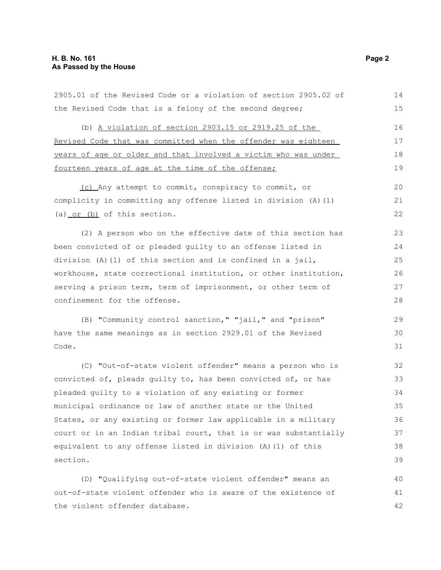the violent offender database.

| 2905.01 of the Revised Code or a violation of section 2905.02 of | 14 |
|------------------------------------------------------------------|----|
| the Revised Code that is a felony of the second degree;          | 15 |
| (b) A violation of section 2903.15 or 2919.25 of the             | 16 |
| Revised Code that was committed when the offender was eighteen   | 17 |
| years of age or older and that involved a victim who was under   | 18 |
| fourteen years of age at the time of the offense;                | 19 |
| (c) Any attempt to commit, conspiracy to commit, or              | 20 |
| complicity in committing any offense listed in division (A) (1)  | 21 |
| (a) $or$ (b) of this section.                                    | 22 |
| (2) A person who on the effective date of this section has       | 23 |
| been convicted of or pleaded guilty to an offense listed in      | 24 |
| division (A) (1) of this section and is confined in a jail,      | 25 |
| workhouse, state correctional institution, or other institution, | 26 |
| serving a prison term, term of imprisonment, or other term of    | 27 |
| confinement for the offense.                                     | 28 |
| (B) "Community control sanction," "jail," and "prison"           | 29 |
| have the same meanings as in section 2929.01 of the Revised      | 30 |
| Code.                                                            | 31 |
| (C) "Out-of-state violent offender" means a person who is        | 32 |
| convicted of, pleads quilty to, has been convicted of, or has    | 33 |
| pleaded quilty to a violation of any existing or former          | 34 |
| municipal ordinance or law of another state or the United        | 35 |
| States, or any existing or former law applicable in a military   | 36 |
| court or in an Indian tribal court, that is or was substantially | 37 |
| equivalent to any offense listed in division (A) (1) of this     | 38 |
| section.                                                         | 39 |
| (D) "Qualifying out-of-state violent offender" means an          | 40 |
| out-of-state violent offender who is aware of the existence of   | 41 |

42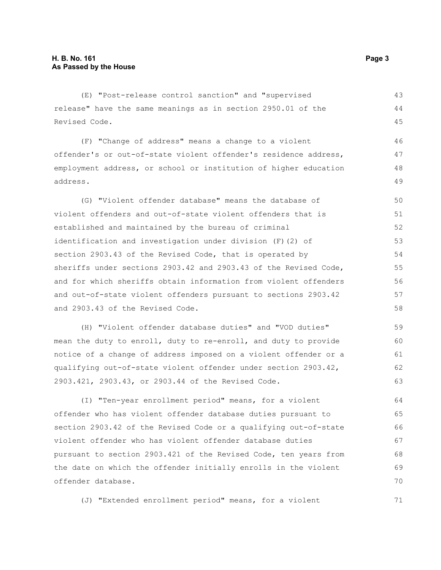(E) "Post-release control sanction" and "supervised release" have the same meanings as in section 2950.01 of the Revised Code.

(F) "Change of address" means a change to a violent offender's or out-of-state violent offender's residence address, employment address, or school or institution of higher education address. 47

(G) "Violent offender database" means the database of violent offenders and out-of-state violent offenders that is established and maintained by the bureau of criminal identification and investigation under division (F)(2) of section 2903.43 of the Revised Code, that is operated by sheriffs under sections 2903.42 and 2903.43 of the Revised Code, and for which sheriffs obtain information from violent offenders and out-of-state violent offenders pursuant to sections 2903.42 and 2903.43 of the Revised Code. 50 51 52 53 54 55 56 57 58

(H) "Violent offender database duties" and "VOD duties" mean the duty to enroll, duty to re-enroll, and duty to provide notice of a change of address imposed on a violent offender or a qualifying out-of-state violent offender under section 2903.42, 2903.421, 2903.43, or 2903.44 of the Revised Code. 59 60 61 62 63

(I) "Ten-year enrollment period" means, for a violent offender who has violent offender database duties pursuant to section 2903.42 of the Revised Code or a qualifying out-of-state violent offender who has violent offender database duties pursuant to section 2903.421 of the Revised Code, ten years from the date on which the offender initially enrolls in the violent offender database. 64 65 66 67 68 69 70

(J) "Extended enrollment period" means, for a violent

43 44 45

46

48 49

71